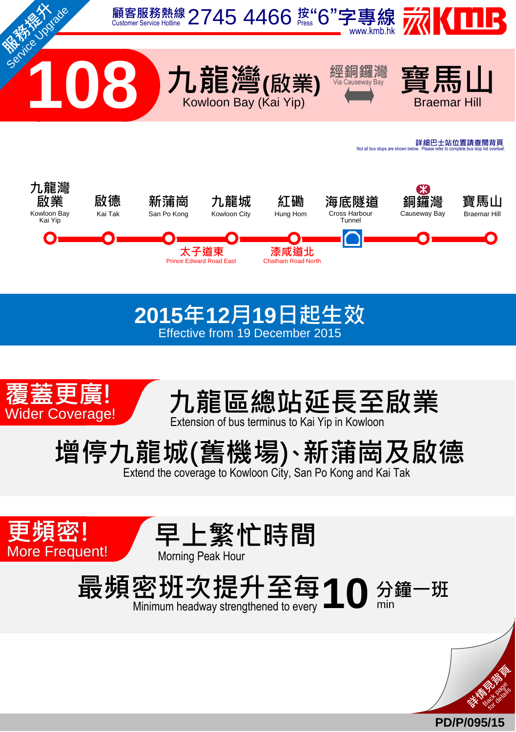

## **2015**年**12**月**19**日起生效 Effective from 19 December 2015





增停九龍城(舊機場) 新蒲崗及啟德 、

Extend the coverage to Kowloon City, San Po Kong and Kai Tak







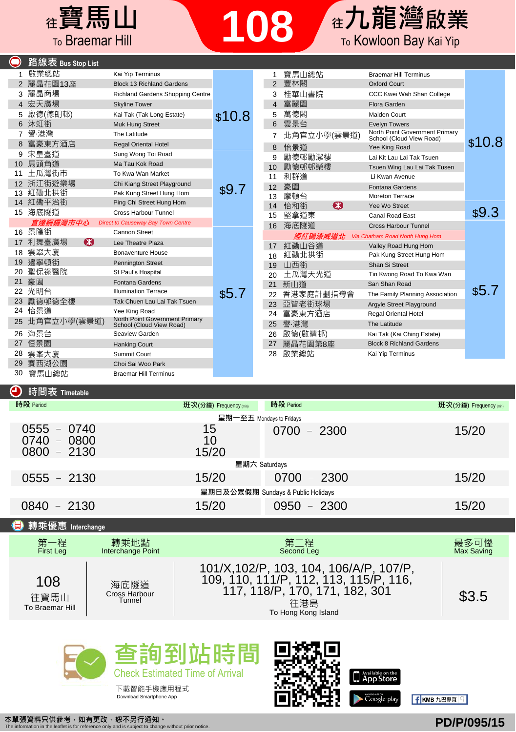

|    | 路線表 Bus Stop List |                                                            |        |    |             |                                                            |        |
|----|-------------------|------------------------------------------------------------|--------|----|-------------|------------------------------------------------------------|--------|
|    | 啟業總站              | Kai Yip Terminus                                           |        |    | 寶馬山總站       | <b>Braemar Hill Terminus</b>                               |        |
|    | 2 麗晶花園13座         | <b>Block 13 Richland Gardens</b>                           |        |    | 豐林閣         | <b>Oxford Court</b>                                        |        |
| 3  | 麗晶商場              | Richland Gardens Shopping Centre                           |        | 3  | 桂華山書院       | CCC Kwei Wah Shan College                                  |        |
| 4  | 宏天廣場              | <b>Skyline Tower</b>                                       |        |    | 富麗園         | Flora Garden                                               |        |
| 5  | 啟德(德朗邨)           | Kai Tak (Tak Long Estate)                                  | \$10.8 | 5  | 萬德閣         | Maiden Court                                               |        |
| 6  | 沐虹街               | Muk Hung Street                                            |        | 6  | 雲景台         | <b>Evelyn Towers</b>                                       |        |
|    | 譽 港灣              | The Latitude                                               |        |    | 北角官立小學(雲景道) | North Point Government Primary<br>School (Cloud View Road) |        |
|    | 富豪東方酒店            | <b>Regal Oriental Hotel</b>                                |        | 8  | 怡景道         | Yee King Road                                              | \$10.8 |
| 9  | 宋皇臺道              | Sung Wong Toi Road                                         |        | 9  | 勵德邨勵潔樓      | Lai Kit Lau Lai Tak Tsuen                                  |        |
| 10 | 馬頭角道              | Ma Tau Kok Road                                            |        | 10 | 勵德邨邨榮樓      | Tsuen Wing Lau Lai Tak Tusen                               |        |
|    | 土瓜灣街市             | To Kwa Wan Market                                          |        | 11 | 利群道         | Li Kwan Avenue                                             |        |
| 12 | 浙江街遊樂場            | Chi Kiang Street Playground                                |        | 12 | 豪園          | Fontana Gardens                                            |        |
| 13 | 紅磡北拱街             | Pak Kung Street Hung Hom                                   | \$9.7  | 13 | 摩頓台         | Moreton Terrace                                            |        |
|    | 14 紅磡平治街          | Ping Chi Street Hung Hom                                   |        | 14 | €Э<br>怡和街   | Yee Wo Street                                              |        |
|    | 15 海底隧道           | Cross Harbour Tunnel                                       |        | 15 | 堅拿道東        | Canal Road East                                            | \$9.3  |
|    | 直達銅鑼灣市中心          | <b>Direct to Causeway Bay Town Centre</b>                  |        | 16 | 海底隧道        | Cross Harbour Tunnel                                       |        |
|    | 16 景隆街            | Cannon Street                                              |        |    | 經紅磡漆咸道北     | Via Chatham Road North Hung Hom                            |        |
| 17 | ങ<br>利舞臺廣場        | Lee Theatre Plaza                                          |        | 17 | 紅磡山谷道       | Valley Road Hung Hom                                       |        |
| 18 | 雲翠大廈              | <b>Bonaventure House</b>                                   |        | 18 | 紅磡北拱街       | Pak Kung Street Hung Hom                                   |        |
| 19 | 邊寧頓街              | <b>Pennington Street</b>                                   |        | 19 | 山西街         | Shan Si Street                                             |        |
| 20 | 聖保祿醫院             | St Paul's Hospital                                         |        | 20 | 土瓜灣天光道      | Tin Kwong Road To Kwa Wan                                  |        |
| 21 | 豪園                | <b>Fontana Gardens</b>                                     |        | 21 | 新山道         | San Shan Road                                              |        |
| 22 | 光明台               | <b>Illumination Terrace</b>                                | \$5.7  | 22 | 香港家庭計劃指導會   | The Family Planning Association                            | \$5.7  |
| 23 | 勵德邨德全樓            | Tak Chuen Lau Lai Tak Tsuen                                |        | 23 | 亞皆老街球場      | Argyle Street Playground                                   |        |
| 24 | 怡景道               | Yee King Road                                              |        | 24 | 富豪東方酒店      | <b>Regal Oriental Hotel</b>                                |        |
|    | 北角官立小學(雲景道)       | North Point Government Primary<br>School (Cloud View Road) |        | 25 | 譽·港灣        | The Latitude                                               |        |
| 26 | 海景台               | Seaview Garden                                             |        | 26 | 啟德(啟睛邨)     | Kai Tak (Kai Ching Estate)                                 |        |
| 27 | 恒景園               | <b>Hanking Court</b>                                       |        | 27 | 麗晶花園第8座     | <b>Block 8 Richland Gardens</b>                            |        |
| 28 | 雲峯大廈              | Summit Court                                               |        | 28 | 啟業總站        | Kai Yip Terminus                                           |        |
| 29 | 賽西湖公園             | Choi Sai Woo Park                                          |        |    |             |                                                            |        |
| 30 | 寶馬山總站             | <b>Braemar Hill Terminus</b>                               |        |    |             |                                                            |        |

## **4 時間表 Timetabl**

**合** 轉乘優重

| 時段 Period                                       | 班次(分鐘) Frequency (min)             | 時段 Period     | 班次(分鐘) Frequency (min) |  |  |  |
|-------------------------------------------------|------------------------------------|---------------|------------------------|--|--|--|
|                                                 | 星期一至五 Mondays to Fridays           |               |                        |  |  |  |
| $0555 - 0740$<br>$0740 - 0800$<br>$0800 - 2130$ | 15<br>10<br>15/20                  | $0700 - 2300$ | 15/20                  |  |  |  |
| 星期六 Saturdays                                   |                                    |               |                        |  |  |  |
| $0555 - 2130$                                   | 15/20                              | $0700 - 2300$ | 15/20                  |  |  |  |
|                                                 | 星期日及公眾假期 Sundays & Public Holidays |               |                        |  |  |  |
| $0840 - 2130$                                   | 15/20                              | $0950 - 2300$ | 15/20                  |  |  |  |

| $\sum$ + $\frac{1}{2}$ / $\sum$ / $\sum$ interchange |                                 |                                                                                                                                                   |                    |
|------------------------------------------------------|---------------------------------|---------------------------------------------------------------------------------------------------------------------------------------------------|--------------------|
| 第一程<br>First Leg                                     | 轉乘地點<br>Interchange Point       | 第二程<br>Second Leg                                                                                                                                 | 最多可慳<br>Max Saving |
| 108<br>往寶馬山<br>To Braemar Hill                       | 海底隧道<br>Cross Harbour<br>Tunnel | 101/X, 102/P, 103, 104, 106/A/P, 107/P,<br>109, 110, 111/P, 112, 113, 115/P, 116,<br>117, 118/P, 170, 171, 182, 301<br>往港島<br>To Hong Kong Island | \$3.5              |









f KMB 九巴專頁 Q

本單張資料只供參考,如有更改,恕不另行通知。 The information in the leaflet is for reference only and is subject to change without prior notice.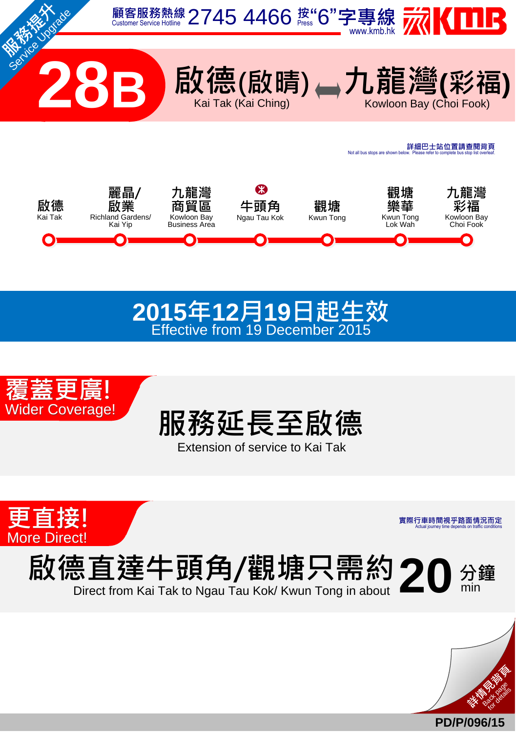





Extension of service to Kai Tak